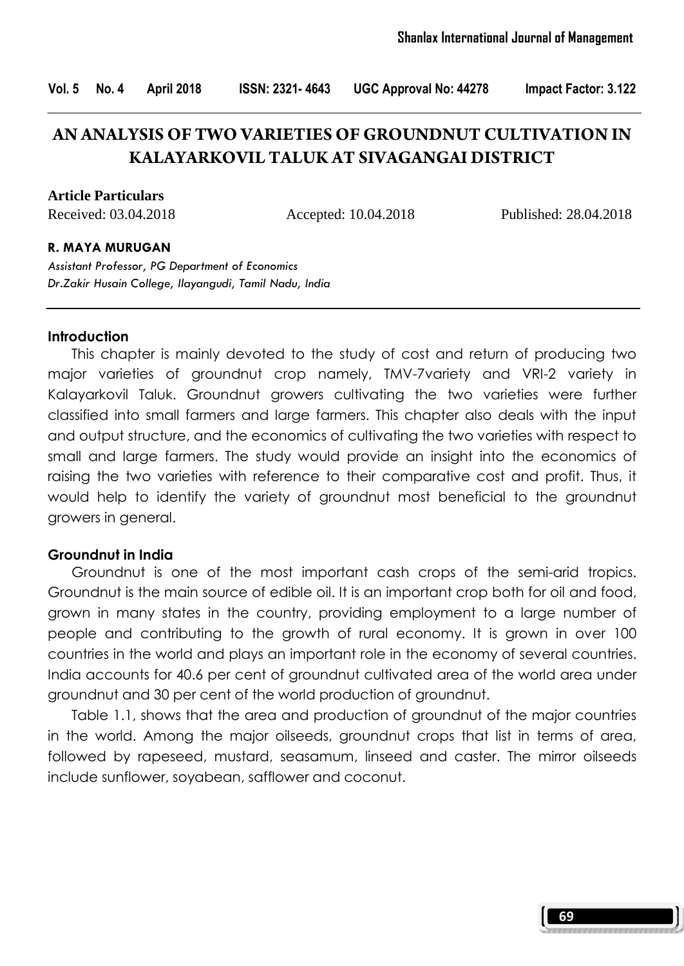Vol. 5 No. 4 April 2018 ISSN: 2321- 4643 UGC Approval No: 44278 Impact Factor: 3.122

# **AN ANALYSIS OF TWO VARIETIES OF GROUNDNUT CULTIVATION IN KALAYARKOVIL TALUK AT SIVAGANGAI DISTRICT**

**Article Particulars**

Received: 03.04.2018 Accepted: 10.04.2018 Published: 28.04.2018

#### R. MAYA MURUGAN

Assistant Professor, PG Department of Economics Dr.Zakir Husain College, Ilayangudi, Tamil Nadu, India

#### **Introduction**

 This chapter is mainly devoted to the study of cost and return of producing two major varieties of groundnut crop namely, TMV-7variety and VRI-2 variety in Kalayarkovil Taluk. Groundnut growers cultivating the two varieties were further classified into small farmers and large farmers. This chapter also deals with the input and output structure, and the economics of cultivating the two varieties with respect to small and large farmers. The study would provide an insight into the economics of raising the two varieties with reference to their comparative cost and profit. Thus, it would help to identify the variety of groundnut most beneficial to the groundnut growers in general.

#### Groundnut in India

 Groundnut is one of the most important cash crops of the semi-arid tropics. Groundnut is the main source of edible oil. It is an important crop both for oil and food, grown in many states in the country, providing employment to a large number of people and contributing to the growth of rural economy. It is grown in over 100 countries in the world and plays an important role in the economy of several countries. India accounts for 40.6 per cent of groundnut cultivated area of the world area under groundnut and 30 per cent of the world production of groundnut.

 Table 1.1, shows that the area and production of groundnut of the major countries in the world. Among the major oilseeds, groundnut crops that list in terms of area, followed by rapeseed, mustard, seasamum, linseed and caster. The mirror oilseeds include sunflower, soyabean, safflower and coconut.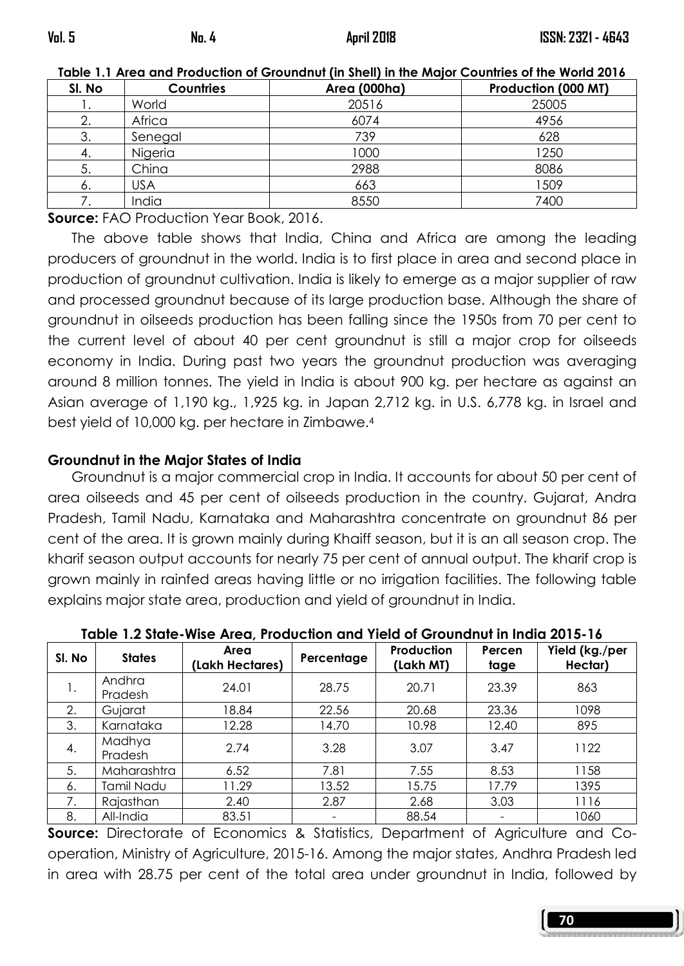| <u>TUDIE T.T ATEU UNU TTUUUCHUN OF OTUUNIUN (IN JIIEII) IN ME MUJUL CUUNNIES ULINE MUNU ZUTU</u> |                  |              |                     |  |  |  |  |
|--------------------------------------------------------------------------------------------------|------------------|--------------|---------------------|--|--|--|--|
| SI. No                                                                                           | <b>Countries</b> | Area (000ha) | Production (000 MT) |  |  |  |  |
|                                                                                                  | World            | 20516        | 25005               |  |  |  |  |
|                                                                                                  | Africa           | 6074         | 4956                |  |  |  |  |
| 3.                                                                                               | Senegal          | 739          | 628                 |  |  |  |  |
| 4.                                                                                               | Niaeria          | 1000         | 1250                |  |  |  |  |
| 5.                                                                                               | China            | 2988         | 8086                |  |  |  |  |
| 6.                                                                                               | <b>USA</b>       | 663          | 1509                |  |  |  |  |
|                                                                                                  | India            | 8550         | 7400                |  |  |  |  |

Table 1.1 Area and Production of Groundnut (in Shell) in the Major Countries of the World 2016

Source: FAO Production Year Book, 2016.

 The above table shows that India, China and Africa are among the leading producers of groundnut in the world. India is to first place in area and second place in production of groundnut cultivation. India is likely to emerge as a major supplier of raw and processed groundnut because of its large production base. Although the share of groundnut in oilseeds production has been falling since the 1950s from 70 per cent to the current level of about 40 per cent groundnut is still a major crop for oilseeds economy in India. During past two years the groundnut production was averaging around 8 million tonnes. The yield in India is about 900 kg. per hectare as against an Asian average of 1,190 kg., 1,925 kg. in Japan 2,712 kg. in U.S. 6,778 kg. in Israel and best yield of 10,000 kg. per hectare in Zimbawe.<sup>4</sup>

#### Groundnut in the Major States of India

 Groundnut is a major commercial crop in India. It accounts for about 50 per cent of area oilseeds and 45 per cent of oilseeds production in the country. Gujarat, Andra Pradesh, Tamil Nadu, Karnataka and Maharashtra concentrate on groundnut 86 per cent of the area. It is grown mainly during Khaiff season, but it is an all season crop. The kharif season output accounts for nearly 75 per cent of annual output. The kharif crop is grown mainly in rainfed areas having little or no irrigation facilities. The following table explains major state area, production and yield of groundnut in India.

| SI. No | <b>States</b>     | Area<br>(Lakh Hectares) | Percentage | <b>Production</b><br>(Lakh MT) | Percen<br>tage | Yield (kg./per<br>Hectar) |
|--------|-------------------|-------------------------|------------|--------------------------------|----------------|---------------------------|
| 1.     | Andhra<br>Pradesh | 24.01                   | 28.75      | 20.71                          | 23.39          | 863                       |
| 2.     | Gujarat           | 18.84                   | 22.56      | 20.68                          | 23.36          | 1098                      |
| 3.     | Karnataka         | 12.28                   | 14.70      | 10.98                          | 12.40          | 895                       |
| 4.     | Madhya<br>Pradesh | 2.74                    | 3.28       | 3.07                           | 3.47           | 1122                      |
| 5.     | Maharashtra       | 6.52                    | 7.81       | 7.55                           | 8.53           | 1158                      |
| 6.     | Tamil Nadu        | 11.29                   | 13.52      | 15.75                          | 17.79          | 1395                      |
| 7.     | Rajasthan         | 2.40                    | 2.87       | 2.68                           | 3.03           | 1116                      |
| 8.     | All-India         | 83.51                   | -          | 88.54                          |                | 1060                      |

Table 1.2 State-Wise Area, Production and Yield of Groundnut in India 2015-16

**Source:** Directorate of Economics & Statistics, Department of Agriculture and Cooperation, Ministry of Agriculture, 2015-16. Among the major states, Andhra Pradesh led in area with 28.75 per cent of the total area under groundnut in India, followed by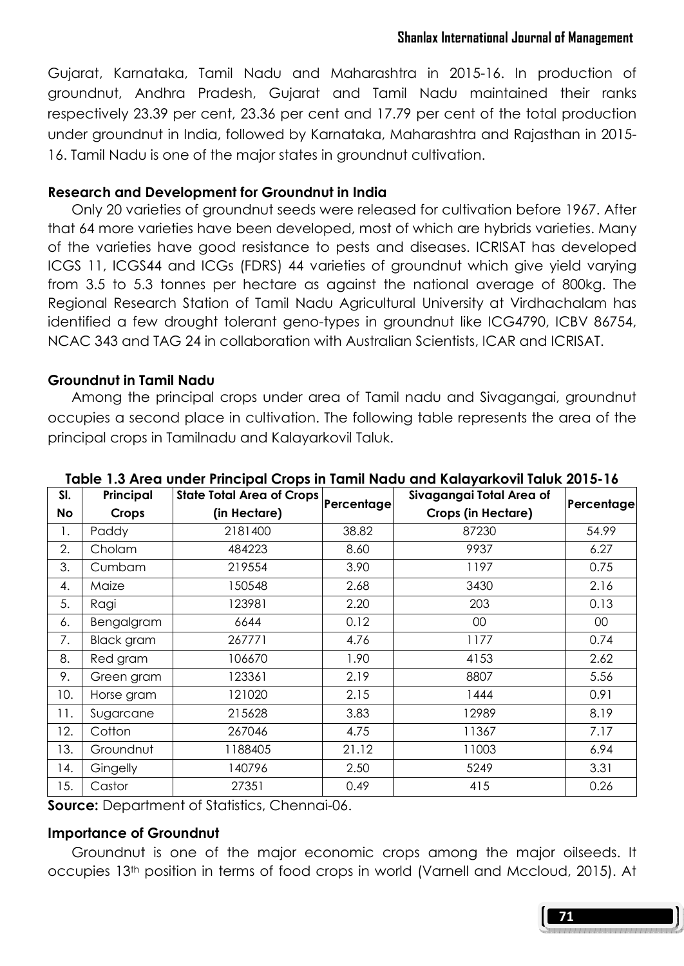Gujarat, Karnataka, Tamil Nadu and Maharashtra in 2015-16. In production of groundnut, Andhra Pradesh, Gujarat and Tamil Nadu maintained their ranks respectively 23.39 per cent, 23.36 per cent and 17.79 per cent of the total production under groundnut in India, followed by Karnataka, Maharashtra and Rajasthan in 2015- 16. Tamil Nadu is one of the major states in groundnut cultivation.

#### Research and Development for Groundnut in India

 Only 20 varieties of groundnut seeds were released for cultivation before 1967. After that 64 more varieties have been developed, most of which are hybrids varieties. Many of the varieties have good resistance to pests and diseases. ICRISAT has developed ICGS 11, ICGS44 and ICGs (FDRS) 44 varieties of groundnut which give yield varying from 3.5 to 5.3 tonnes per hectare as against the national average of 800kg. The Regional Research Station of Tamil Nadu Agricultural University at Virdhachalam has identified a few drought tolerant geno-types in groundnut like ICG4790, ICBV 86754, NCAC 343 and TAG 24 in collaboration with Australian Scientists, ICAR and ICRISAT.

## Groundnut in Tamil Nadu

 Among the principal crops under area of Tamil nadu and Sivagangai, groundnut occupies a second place in cultivation. The following table represents the area of the principal crops in Tamilnadu and Kalayarkovil Taluk.

| SI. | Principal  | <b>State Total Area of Crops</b> | Percentage | Sivagangai Total Area of  | Percentage |  |
|-----|------------|----------------------------------|------------|---------------------------|------------|--|
| No  | Crops      | (in Hectare)                     |            | <b>Crops (in Hectare)</b> |            |  |
| 1.  | Paddy      | 2181400                          | 38.82      | 87230                     | 54.99      |  |
| 2.  | Cholam     | 484223                           | 8.60       | 9937                      | 6.27       |  |
| 3.  | Cumbam     | 219554                           | 3.90       | 1197                      | 0.75       |  |
| 4.  | Maize      | 150548                           | 2.68       | 3430                      | 2.16       |  |
| 5.  | Ragi       | 123981                           | 2.20       | 203                       | 0.13       |  |
| 6.  | Bengalgram | 6644                             | 0.12       | 00                        | 00         |  |
| 7.  | Black gram | 267771                           | 4.76       | 1177                      | 0.74       |  |
| 8.  | Red gram   | 106670                           | 1.90       | 4153                      | 2.62       |  |
| 9.  | Green gram | 123361                           | 2.19       | 8807                      | 5.56       |  |
| 10. | Horse gram | 121020                           | 2.15       | 1444                      | 0.91       |  |
| 11. | Sugarcane  | 215628                           | 3.83       | 12989                     | 8.19       |  |
| 12. | Cotton     | 267046                           | 4.75       | 11367                     | 7.17       |  |
| 13. | Groundnut  | 1188405                          | 21.12      | 11003                     | 6.94       |  |
| 14. | Gingelly   | 140796                           | 2.50       | 5249                      | 3.31       |  |
| 15. | Castor     | 27351                            | 0.49       | 415                       | 0.26       |  |

Table 1.3 Area under Principal Crops in Tamil Nadu and Kalayarkovil Taluk 2015-16

Source: Department of Statistics, Chennai-06.

## Importance of Groundnut

Groundnut is one of the major economic crops among the major oilseeds. It occupies 13th position in terms of food crops in world (Varnell and Mccloud, 2015). At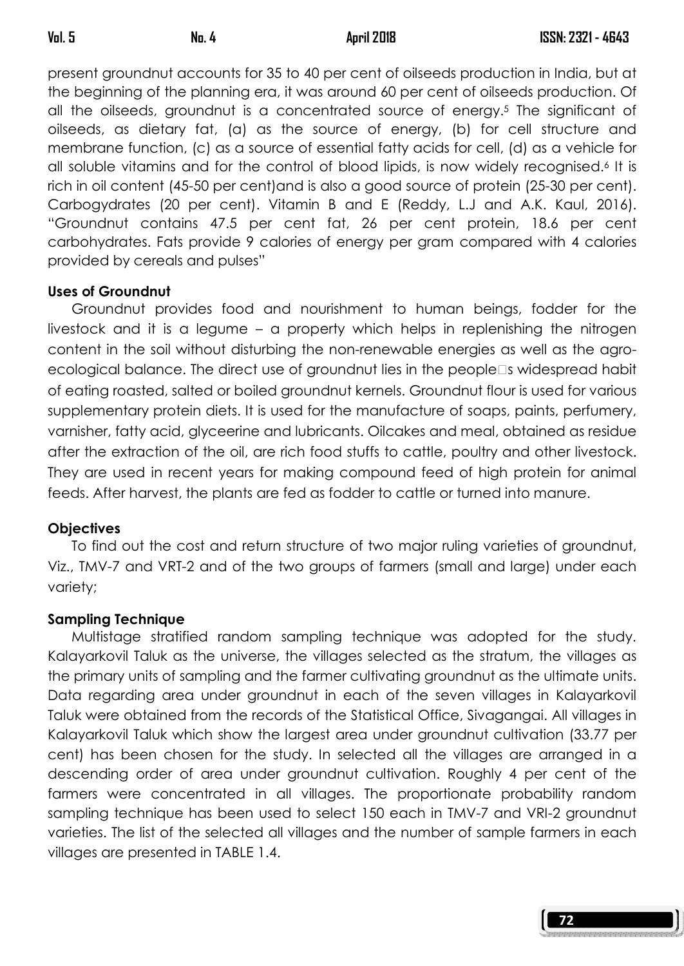present groundnut accounts for 35 to 40 per cent of oilseeds production in India, but at the beginning of the planning era, it was around 60 per cent of oilseeds production. Of all the oilseeds, groundnut is a concentrated source of energy.5 The significant of oilseeds, as dietary fat, (a) as the source of energy, (b) for cell structure and membrane function, (c) as a source of essential fatty acids for cell, (d) as a vehicle for all soluble vitamins and for the control of blood lipids, is now widely recognised.6 It is rich in oil content (45-50 per cent)and is also a good source of protein (25-30 per cent). Carbogydrates (20 per cent). Vitamin B and E (Reddy, L.J and A.K. Kaul, 2016). "Groundnut contains 47.5 per cent fat, 26 per cent protein, 18.6 per cent carbohydrates. Fats provide 9 calories of energy per gram compared with 4 calories provided by cereals and pulses"

## Uses of Groundnut

 Groundnut provides food and nourishment to human beings, fodder for the livestock and it is a legume – a property which helps in replenishing the nitrogen content in the soil without disturbing the non-renewable energies as well as the agroecological balance. The direct use of groundnut lies in the people s widespread habit of eating roasted, salted or boiled groundnut kernels. Groundnut flour is used for various supplementary protein diets. It is used for the manufacture of soaps, paints, perfumery, varnisher, fatty acid, glyceerine and lubricants. Oilcakes and meal, obtained as residue after the extraction of the oil, are rich food stuffs to cattle, poultry and other livestock. They are used in recent years for making compound feed of high protein for animal feeds. After harvest, the plants are fed as fodder to cattle or turned into manure.

## **Objectives**

 To find out the cost and return structure of two major ruling varieties of groundnut, Viz., TMV-7 and VRT-2 and of the two groups of farmers (small and large) under each variety;

## Sampling Technique

 Multistage stratified random sampling technique was adopted for the study. Kalayarkovil Taluk as the universe, the villages selected as the stratum, the villages as the primary units of sampling and the farmer cultivating groundnut as the ultimate units. Data regarding area under groundnut in each of the seven villages in Kalayarkovil Taluk were obtained from the records of the Statistical Office, Sivagangai. All villages in Kalayarkovil Taluk which show the largest area under groundnut cultivation (33.77 per cent) has been chosen for the study. In selected all the villages are arranged in a descending order of area under groundnut cultivation. Roughly 4 per cent of the farmers were concentrated in all villages. The proportionate probability random sampling technique has been used to select 150 each in TMV-7 and VRI-2 groundnut varieties. The list of the selected all villages and the number of sample farmers in each villages are presented in TABLE 1.4.

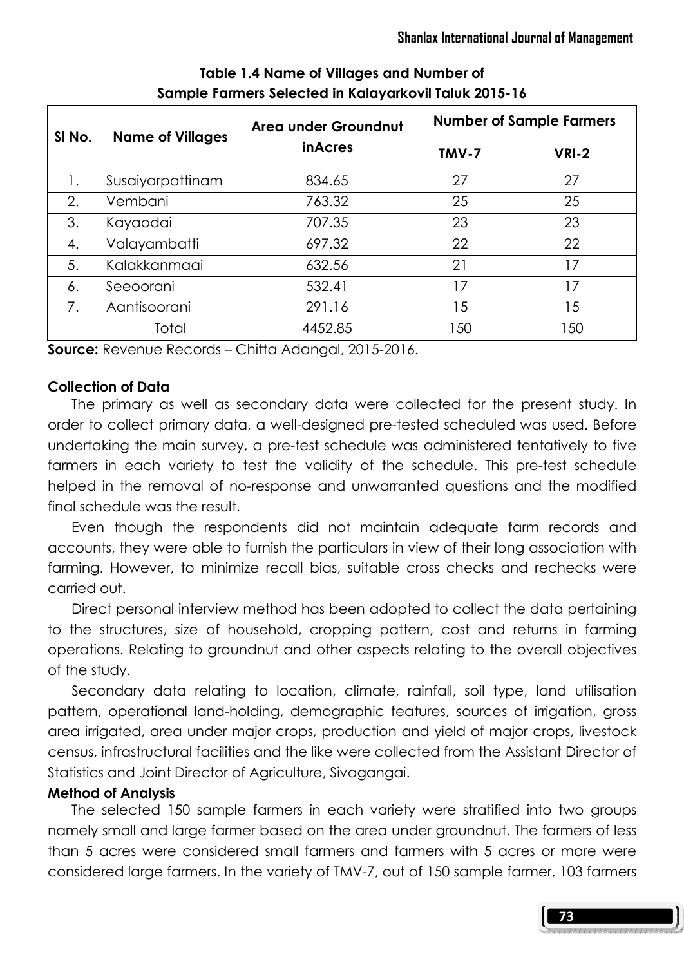| SI No. | <b>Name of Villages</b> | Area under Groundnut | <b>Number of Sample Farmers</b> |       |  |
|--------|-------------------------|----------------------|---------------------------------|-------|--|
|        |                         | <i>inAcres</i>       | TMV-7                           | VRI-2 |  |
| 1.     | Susaiyarpattinam        | 834.65               | 27                              | 27    |  |
| 2.     | Vembani                 | 763.32               | 25                              | 25    |  |
| 3.     | Kayaodai                | 707.35               | 23                              | 23    |  |
| 4.     | Valayambatti            | 697.32               | 22                              | 22    |  |
| 5.     | Kalakkanmaai            | 632.56               | 21                              | 17    |  |
| 6.     | Seeoorani               | 532.41               | 17                              | 17    |  |
| 7.     | Aantisoorani            | 291.16               | 15                              | 15    |  |
|        | Total                   | 4452.85              | 150                             | 150   |  |

## Table 1.4 Name of Villages and Number of Sample Farmers Selected in Kalayarkovil Taluk 2015-16

Source: Revenue Records – Chitta Adangal, 2015-2016.

## Collection of Data

 The primary as well as secondary data were collected for the present study. In order to collect primary data, a well-designed pre-tested scheduled was used. Before undertaking the main survey, a pre-test schedule was administered tentatively to five farmers in each variety to test the validity of the schedule. This pre-test schedule helped in the removal of no-response and unwarranted questions and the modified final schedule was the result.

 Even though the respondents did not maintain adequate farm records and accounts, they were able to furnish the particulars in view of their long association with farming. However, to minimize recall bias, suitable cross checks and rechecks were carried out.

 Direct personal interview method has been adopted to collect the data pertaining to the structures, size of household, cropping pattern, cost and returns in farming operations. Relating to groundnut and other aspects relating to the overall objectives of the study.

 Secondary data relating to location, climate, rainfall, soil type, land utilisation pattern, operational land-holding, demographic features, sources of irrigation, gross area irrigated, area under major crops, production and yield of major crops, livestock census, infrastructural facilities and the like were collected from the Assistant Director of Statistics and Joint Director of Agriculture, Sivagangai.

## Method of Analysis

 The selected 150 sample farmers in each variety were stratified into two groups namely small and large farmer based on the area under groundnut. The farmers of less than 5 acres were considered small farmers and farmers with 5 acres or more were considered large farmers. In the variety of TMV-7, out of 150 sample farmer, 103 farmers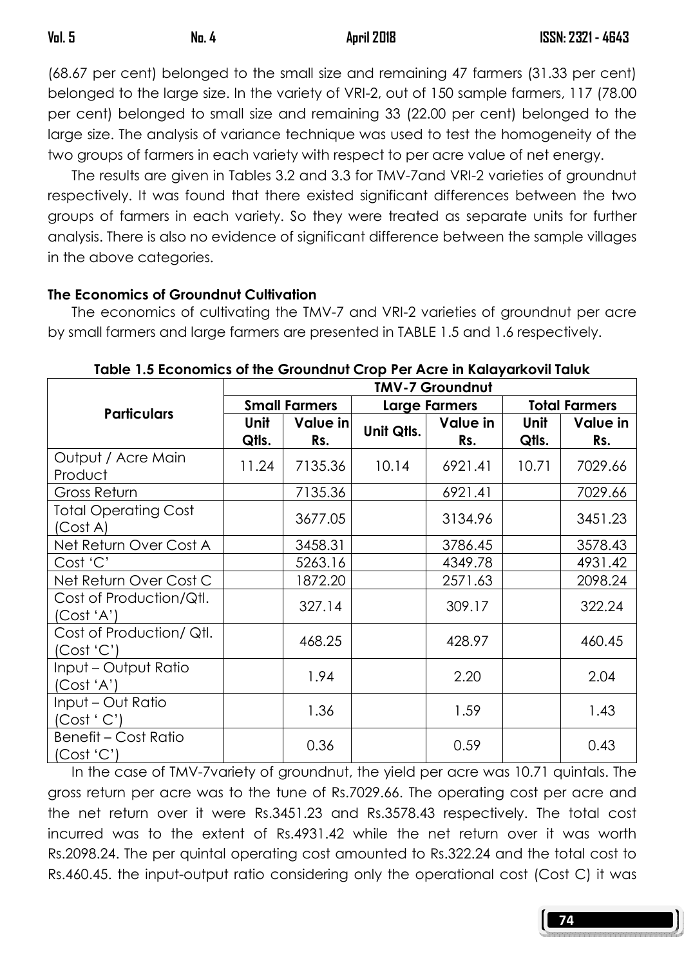(68.67 per cent) belonged to the small size and remaining 47 farmers (31.33 per cent) belonged to the large size. In the variety of VRI-2, out of 150 sample farmers, 117 (78.00 per cent) belonged to small size and remaining 33 (22.00 per cent) belonged to the large size. The analysis of variance technique was used to test the homogeneity of the two groups of farmers in each variety with respect to per acre value of net energy.

 The results are given in Tables 3.2 and 3.3 for TMV-7and VRI-2 varieties of groundnut respectively. It was found that there existed significant differences between the two groups of farmers in each variety. So they were treated as separate units for further analysis. There is also no evidence of significant difference between the sample villages in the above categories.

## The Economics of Groundnut Cultivation

 The economics of cultivating the TMV-7 and VRI-2 varieties of groundnut per acre by small farmers and large farmers are presented in TABLE 1.5 and 1.6 respectively.

|                                           | <b>TMV-7 Groundnut</b> |                 |                      |                 |                      |                 |
|-------------------------------------------|------------------------|-----------------|----------------------|-----------------|----------------------|-----------------|
| <b>Particulars</b>                        | <b>Small Farmers</b>   |                 | <b>Large Farmers</b> |                 | <b>Total Farmers</b> |                 |
|                                           | Unit<br>Qtls.          | Value in<br>Rs. | Unit Qtls.           | Value in<br>Rs. | Unit<br>Qtls.        | Value in<br>Rs. |
| Output / Acre Main<br>Product             | 11.24                  | 7135.36         | 10.14                | 6921.41         | 10.71                | 7029.66         |
| Gross Return                              |                        | 7135.36         |                      | 6921.41         |                      | 7029.66         |
| <b>Total Operating Cost</b><br>(Cost A)   |                        | 3677.05         |                      | 3134.96         |                      | 3451.23         |
| Net Return Over Cost A                    |                        | 3458.31         |                      | 3786.45         |                      | 3578.43         |
| Cost 'C'                                  |                        | 5263.16         |                      | 4349.78         |                      | 4931.42         |
| Net Return Over Cost C                    |                        | 1872.20         |                      | 2571.63         |                      | 2098.24         |
| Cost of Production/Qtl.<br>(Cost 'A')     |                        | 327.14          |                      | 309.17          |                      | 322.24          |
| Cost of Production/Qtl.<br>(Cost 'C')     |                        | 468.25          |                      | 428.97          |                      | 460.45          |
| Input - Output Ratio<br>(Cost 'A')        |                        | 1.94            |                      | 2.20            |                      | 2.04            |
| Input - Out Ratio<br>(Cost ' C')          |                        | 1.36            |                      | 1.59            |                      | 1.43            |
| <b>Benefit - Cost Ratio</b><br>(Cost 'C') |                        | 0.36            |                      | 0.59            |                      | 0.43            |

Table 1.5 Economics of the Groundnut Crop Per Acre in Kalayarkovil Taluk

 In the case of TMV-7variety of groundnut, the yield per acre was 10.71 quintals. The gross return per acre was to the tune of Rs.7029.66. The operating cost per acre and the net return over it were Rs.3451.23 and Rs.3578.43 respectively. The total cost incurred was to the extent of Rs.4931.42 while the net return over it was worth Rs.2098.24. The per quintal operating cost amounted to Rs.322.24 and the total cost to Rs.460.45. the input-output ratio considering only the operational cost (Cost C) it was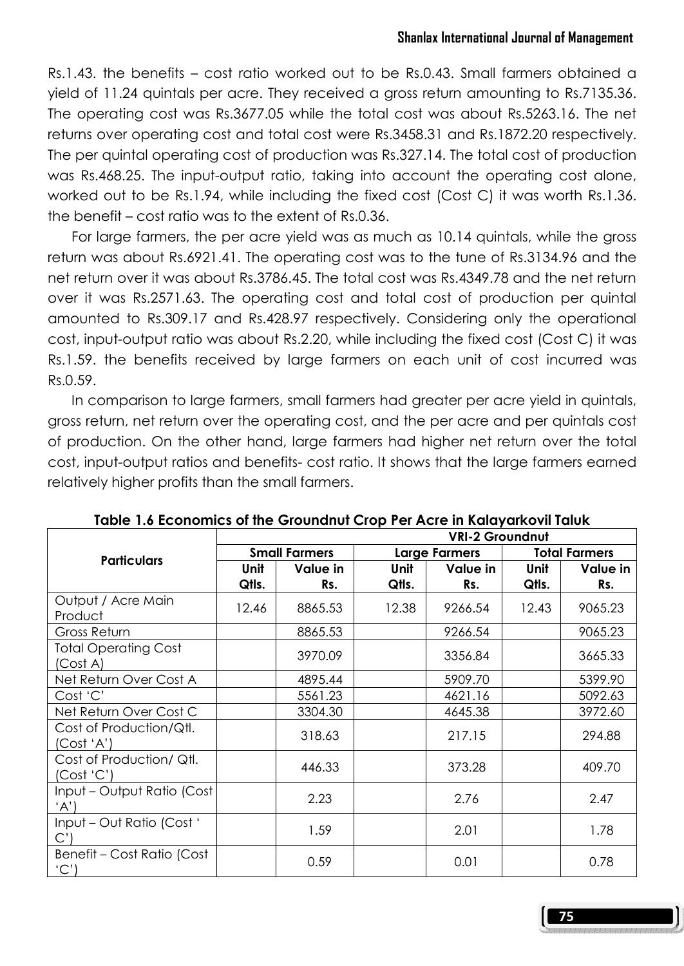Rs.1.43. the benefits – cost ratio worked out to be Rs.0.43. Small farmers obtained a yield of 11.24 quintals per acre. They received a gross return amounting to Rs.7135.36. The operating cost was Rs.3677.05 while the total cost was about Rs.5263.16. The net returns over operating cost and total cost were Rs.3458.31 and Rs.1872.20 respectively. The per quintal operating cost of production was Rs.327.14. The total cost of production was Rs.468.25. The input-output ratio, taking into account the operating cost alone, worked out to be Rs.1.94, while including the fixed cost (Cost C) it was worth Rs.1.36. the benefit – cost ratio was to the extent of Rs.0.36.

 For large farmers, the per acre yield was as much as 10.14 quintals, while the gross return was about Rs.6921.41. The operating cost was to the tune of Rs.3134.96 and the net return over it was about Rs.3786.45. The total cost was Rs.4349.78 and the net return over it was Rs.2571.63. The operating cost and total cost of production per quintal amounted to Rs.309.17 and Rs.428.97 respectively. Considering only the operational cost, input-output ratio was about Rs.2.20, while including the fixed cost (Cost C) it was Rs.1.59. the benefits received by large farmers on each unit of cost incurred was Rs.0.59.

 In comparison to large farmers, small farmers had greater per acre yield in quintals, gross return, net return over the operating cost, and the per acre and per quintals cost of production. On the other hand, large farmers had higher net return over the total cost, input-output ratios and benefits- cost ratio. It shows that the large farmers earned relatively higher profits than the small farmers.

|                                         | <b>VRI-2 Groundnut</b> |                 |                      |                 |                      |                 |
|-----------------------------------------|------------------------|-----------------|----------------------|-----------------|----------------------|-----------------|
| <b>Particulars</b>                      | <b>Small Farmers</b>   |                 | <b>Large Farmers</b> |                 | <b>Total Farmers</b> |                 |
|                                         | Unit<br>Qtls.          | Value in<br>Rs. | <b>Unit</b><br>Qtls. | Value in<br>Rs. | Unit<br>Qtls.        | Value in<br>Rs. |
| Output / Acre Main<br>Product           | 12.46                  | 8865.53         | 12.38                | 9266.54         | 12.43                | 9065.23         |
| Gross Return                            |                        | 8865.53         |                      | 9266.54         |                      | 9065.23         |
| <b>Total Operating Cost</b><br>(Cost A) |                        | 3970.09         |                      | 3356.84         |                      | 3665.33         |
| Net Return Over Cost A                  |                        | 4895.44         |                      | 5909.70         |                      | 5399.90         |
| Cost 'C'                                |                        | 5561.23         |                      | 4621.16         |                      | 5092.63         |
| Net Return Over Cost C                  |                        | 3304.30         |                      | 4645.38         |                      | 3972.60         |
| Cost of Production/Qtl.<br>('Cost 'A)   |                        | 318.63          |                      | 217.15          |                      | 294.88          |
| Cost of Production/Qtl.<br>(Cost 'C')   |                        | 446.33          |                      | 373.28          |                      | 409.70          |
| Input - Output Ratio (Cost<br>'A')      |                        | 2.23            |                      | 2.76            |                      | 2.47            |
| Input - Out Ratio (Cost '<br>C'         |                        | 1.59            |                      | 2.01            |                      | 1.78            |
| Benefit - Cost Ratio (Cost<br>(C')      |                        | 0.59            |                      | 0.01            |                      | 0.78            |

Table 1.6 Economics of the Groundnut Crop Per Acre in Kalayarkovil Taluk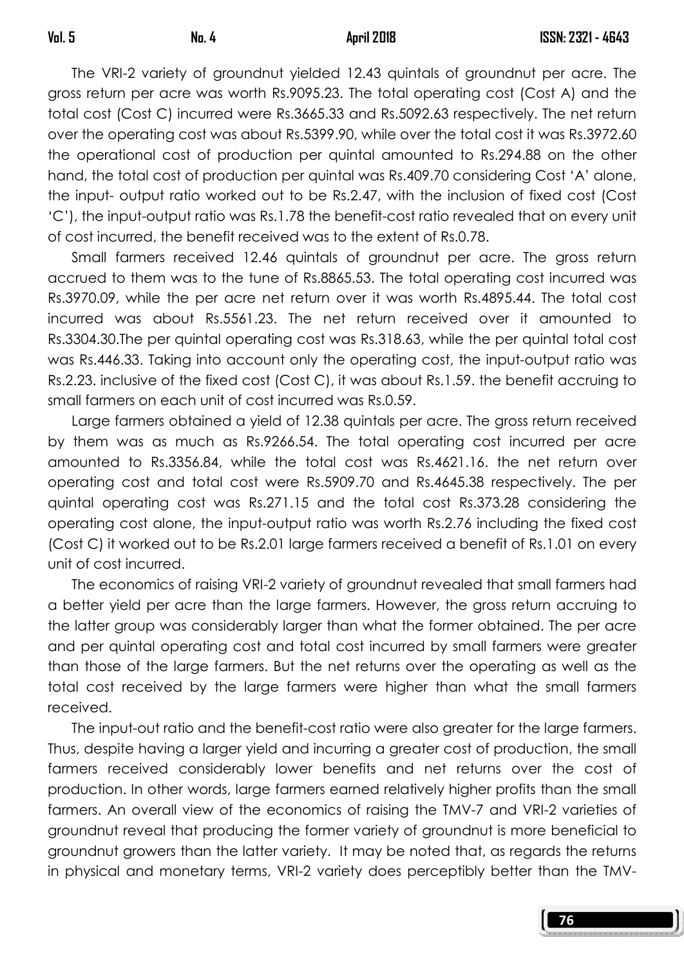The VRI-2 variety of groundnut yielded 12.43 quintals of groundnut per acre. The gross return per acre was worth Rs.9095.23. The total operating cost (Cost A) and the total cost (Cost C) incurred were Rs.3665.33 and Rs.5092.63 respectively. The net return over the operating cost was about Rs.5399.90, while over the total cost it was Rs.3972.60 the operational cost of production per quintal amounted to Rs.294.88 on the other hand, the total cost of production per quintal was Rs.409.70 considering Cost 'A' alone, the input- output ratio worked out to be Rs.2.47, with the inclusion of fixed cost (Cost 'C'), the input-output ratio was Rs.1.78 the benefit-cost ratio revealed that on every unit of cost incurred, the benefit received was to the extent of Rs.0.78.

 Small farmers received 12.46 quintals of groundnut per acre. The gross return accrued to them was to the tune of Rs.8865.53. The total operating cost incurred was Rs.3970.09, while the per acre net return over it was worth Rs.4895.44. The total cost incurred was about Rs.5561.23. The net return received over it amounted to Rs.3304.30.The per quintal operating cost was Rs.318.63, while the per quintal total cost was Rs.446.33. Taking into account only the operating cost, the input-output ratio was Rs.2.23. inclusive of the fixed cost (Cost C), it was about Rs.1.59. the benefit accruing to small farmers on each unit of cost incurred was Rs.0.59.

 Large farmers obtained a yield of 12.38 quintals per acre. The gross return received by them was as much as Rs.9266.54. The total operating cost incurred per acre amounted to Rs.3356.84, while the total cost was Rs.4621.16. the net return over operating cost and total cost were Rs.5909.70 and Rs.4645.38 respectively. The per quintal operating cost was Rs.271.15 and the total cost Rs.373.28 considering the operating cost alone, the input-output ratio was worth Rs.2.76 including the fixed cost (Cost C) it worked out to be Rs.2.01 large farmers received a benefit of Rs.1.01 on every unit of cost incurred.

 The economics of raising VRI-2 variety of groundnut revealed that small farmers had a better yield per acre than the large farmers. However, the gross return accruing to the latter group was considerably larger than what the former obtained. The per acre and per quintal operating cost and total cost incurred by small farmers were greater than those of the large farmers. But the net returns over the operating as well as the total cost received by the large farmers were higher than what the small farmers received.

 The input-out ratio and the benefit-cost ratio were also greater for the large farmers. Thus, despite having a larger yield and incurring a greater cost of production, the small farmers received considerably lower benefits and net returns over the cost of production. In other words, large farmers earned relatively higher profits than the small farmers. An overall view of the economics of raising the TMV-7 and VRI-2 varieties of groundnut reveal that producing the former variety of groundnut is more beneficial to groundnut growers than the latter variety. It may be noted that, as regards the returns in physical and monetary terms, VRI-2 variety does perceptibly better than the TMV-

76